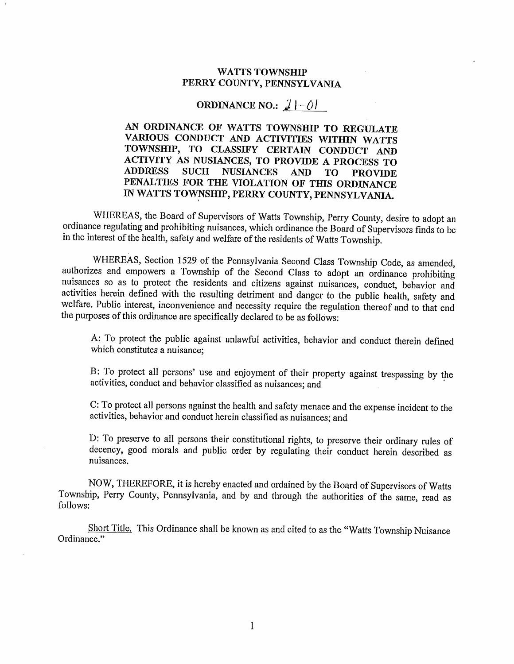## WATTS TOWNSHIP PERRY COUNTY, PENNSYLVANIA

## ORDINANCE NO.:  $\mathcal{J}$  |  $-\hat{Q}$ |

AN ORDINANCE OF WATTS TOWNSHIP TO REGULATE VARIOUS CONDUCT AND ACTIVITIES WITHIN WATTS TOWNSHP, TO CLASSIFY CERTAIN CONDUCT AND ACTIVITY AS NUSIANCES, TO PROVIDE A PROCESS TO<br>ADDRESS SUCH NUSIANCES AND TO PROVIDE NUSIANCES AND TO PROVIDE PENALTIES FOR THE VIOLATION OF THIS ORDINANCE IN WATTS TOWNSHIP, PERRY COUNTY, PENNSYLVANIA.

WHEREAS, the Board of Supervisors of Watts Township, Perry County, desire to adopt an ordinance regulating and prohibiting nuisances, which ordinance the Board of Supervisors finds to be in the intercst of the health, safety and welfare of the residents of Watts Township.

WHEREAS, Section 1529 of the Pennsylvania Second Class Township Code, as amended, authorizes and empowers a Township of the Second Class to adopt an ordinance prohibiting nuisances so as to protect the residents and citizens against nuisaices, conduct, behavior and activities herein defined with the resulting detriment and danger to the public heatth, safety and welfare. Public interest, inconvenience and necessity require the regulation thereof and to that end the purposes of this ordinance are specifically declared to be as follows:

A: To protect the public against unlawful activities, behavior and conduct therein defined which constitutes a nuisance;

B: To protect all persons' use and enjoyment of their property against trespassing by the activities, conduct and behavior classified as nuisances; and

C: To protect all persons against the health and safety menace and the expense incident to the activities, behavior and conduct herein classified as nuisances; and

D: To preserve to all persons their constitutional rights, to preserve their ordinary rules of decency, good morals and public order by regulating their conduct herein described as nuisances.

NOW, THEREFORE, it is hereby enacted and ordained by the Board of Supervisors of Watts Township, Perry County, Pennsylvania, and by and through the authorities of the same, read as follows:

Short Title. This Ordinance shall be known as and cited to as the "Watts Township Nuisance Ordinance."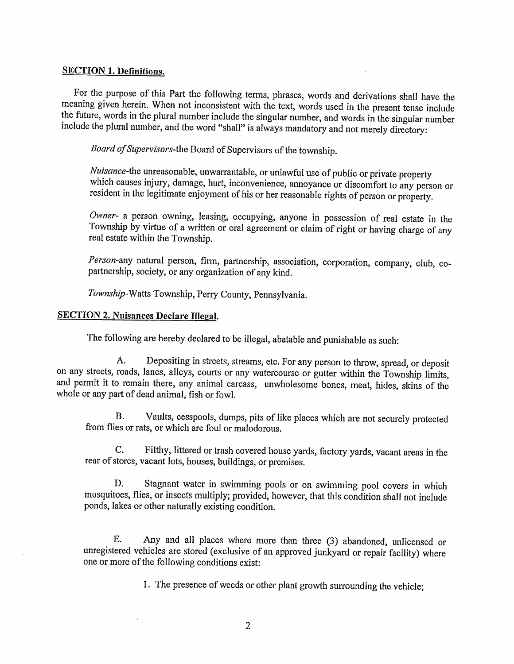### SECTION 1. Definitions.

For the purpose of this Part the following terms, phrases, words and derivations shall have the meaning given herein. When not inconsistent with the text, words used in the present tense include the future, words in the plural number include the singular number, and words in the singular number include the plural number, and the word "shall" is always mandatory and not merely directory:

Board of Supervisors-the Board of Supervisors of the township.

Nuisance-the unreasonable, unwarrantable, or unlawful use of public or private property which causes injury, damage, hurt, inconvenience, annoyance or discomfort to any person or resident in the legitimate enjoyment of his or her reasonable rights of person or property.

Owner- a person owning, leasing, occupying, anyone in possession of real estate in the Township by virtue of a written or oral agreement or claim of right or having charge of any real estate within the Township.

Person-any natural person, firm, partnership, association, corporation, company, club, copartnership, society, or any organization of any kind.

Township-Watts Township, Perry County, Pennsylvania.

# SECTION 2. Nuisances Declare Illegal.

The following are hereby declared to be illegal, abatable and punishable as such:

A. Depositing in streets, streams, etc. For any person to throw, spread, or deposit on any streets, roads, lanes, alleys, courts or any watercourse or gutter within the Township limits, and permit it to remain there, any animal carcass, unwholesome bones, meat, hides, skins of the whole or any part of dead animal, fish or fowl.

B. Vaults, cesspools, dumps, pits of like places which are not securely protected from flies or rats, or which are foul or malodorous.

C. Filthy, littered or trash covered house yards, factory yards, vacant areas in the rear of stores, vacant lots, houses, buildings, or premises.

D. Stagnant water in swimming pools or on swimming pool covers in which mosquitoes, flies, or insects multiply; provided, however, that this condition shall not include ponds, lakes or other naturally existing condition.

E. Any and all places where more than three (3) abandoned, unlicensed or unregistered vehicles are stored (exclusive of an approved junkyard or repair facility) where one or more of the following conditions exist:

1. The presence of weeds or other plant growth surrounding the vehicle;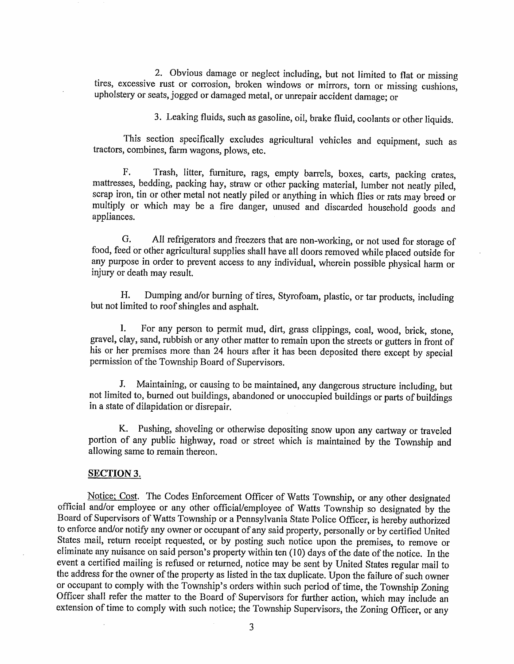2. Obvious damage ot neglect including, but not limited to flat or missing tires, excessive rust or corrosion, broken windows or mirrors, torn or missing cushions, upholstery or seats, jogged or damaged metal, or unrepair accident damage; or

3. Leaking fluids, such as gasoline, oil, brake fluid, coolants or other liquids.

This section specifically excludes agricultural vehicles and equipment, such as tractors, combines, farm wagons, plows, etc.

F. Trash, litter, furniture, rags, empty barrels, boxes, carts, packing crates, mattresses, bedding, packing hay, straw or other packing material, lumber not neatly piled, scrap iron, tin or other metal not neatly piled or anything in which flies or rats may breed or multiply or which may be a fire danger, unused and discarded household goods and appliances.

G. AII refrigerators and freezers that are non-working, or not used for storage of food, feed or other agricultural supplies shall have all doors removed while placed outside for any purpose in order to prevent access to any individual, wherein possible physical harm or injury or death may result.

H. Dumping and/or burning of tires, Styrofoam, plastic, or tar products, including but not limited to roof shingles and asphalt.

I. For any person to permit mud, dirt, grass clippings, coal, wood, brick, stone, gravel, clay, sand, rubbish or any other matter to remain upon the streets or gutters in front of his or her premises more than 24 hours after it has been deposited there except by special permission of the Township Board of Supervisors.

J. Maintaining, or causing to be maintained, any dangerous strueture including, but not limited to, burned out buildings, abandoned or unoccupied buildings or parts of buildings in a state of dilapidation or disrepair.

K. Pushing, shoveling or otherwise depositing snow upon any cartway or traveled portion of any public highway, road or street which is maintained by the Township and allowing same to remain thereon.

#### SECTION 3.

Notice: Cost. The Codes Enforcement Officer of Watts Township, or any other designated official and/or employee or any other official/employee of Watts Township so designated by the Board of Supervisors of Watts Township or a Pennsylvania State Police Officer, is hereby authorized to enforce and/or notify any owner or occupant of any said property, petsonally or by certified United States mail, return teceipt requested, or by posting such notice upon the premises, to remove or eliminate any nuisance on said person's property within ten (10) days of the date of the notice. In the event a certified mailing is refused or returned, notice may be sent by United States regular mail to the address for the owner of the property as listed in the tax duplicate. Upon the failure of such owner or occupant to comply with the Township's orders within such period of time, the Township Zoning Officer shall refer the matter to the Board of'supervisors for further action, which may include an extension of time to comply with such notice; the Township Supervisors, the Zoning Officer, or any